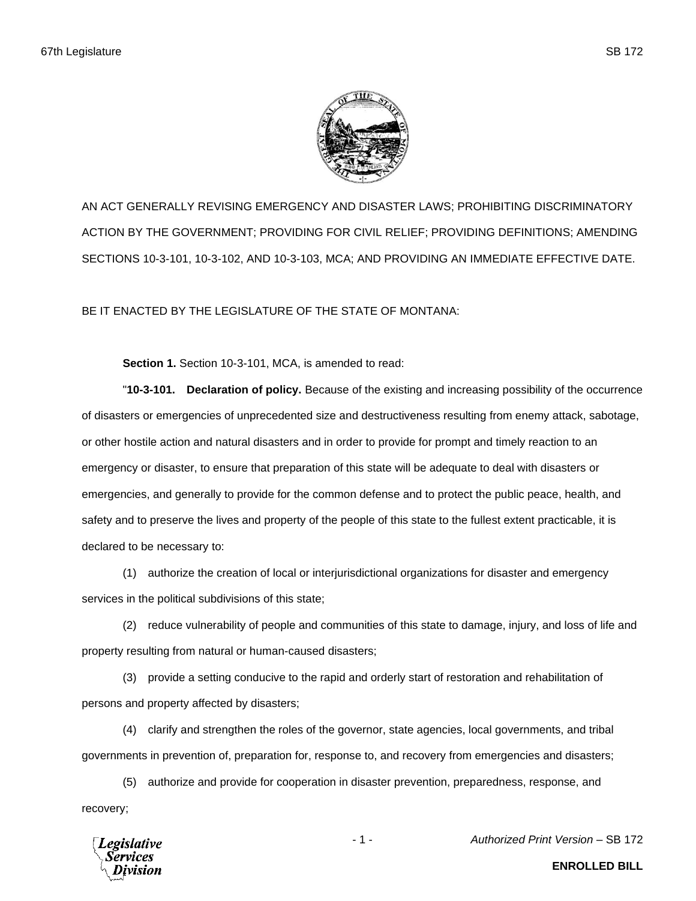

AN ACT GENERALLY REVISING EMERGENCY AND DISASTER LAWS; PROHIBITING DISCRIMINATORY ACTION BY THE GOVERNMENT; PROVIDING FOR CIVIL RELIEF; PROVIDING DEFINITIONS; AMENDING SECTIONS 10-3-101, 10-3-102, AND 10-3-103, MCA; AND PROVIDING AN IMMEDIATE EFFECTIVE DATE.

BE IT ENACTED BY THE LEGISLATURE OF THE STATE OF MONTANA:

**Section 1.** Section 10-3-101, MCA, is amended to read:

"**10-3-101. Declaration of policy.** Because of the existing and increasing possibility of the occurrence of disasters or emergencies of unprecedented size and destructiveness resulting from enemy attack, sabotage, or other hostile action and natural disasters and in order to provide for prompt and timely reaction to an emergency or disaster, to ensure that preparation of this state will be adequate to deal with disasters or emergencies, and generally to provide for the common defense and to protect the public peace, health, and safety and to preserve the lives and property of the people of this state to the fullest extent practicable, it is declared to be necessary to:

(1) authorize the creation of local or interjurisdictional organizations for disaster and emergency services in the political subdivisions of this state;

(2) reduce vulnerability of people and communities of this state to damage, injury, and loss of life and property resulting from natural or human-caused disasters;

(3) provide a setting conducive to the rapid and orderly start of restoration and rehabilitation of persons and property affected by disasters;

(4) clarify and strengthen the roles of the governor, state agencies, local governments, and tribal governments in prevention of, preparation for, response to, and recovery from emergencies and disasters;

(5) authorize and provide for cooperation in disaster prevention, preparedness, response, and recovery;



- 1 - *Authorized Print Version* – SB 172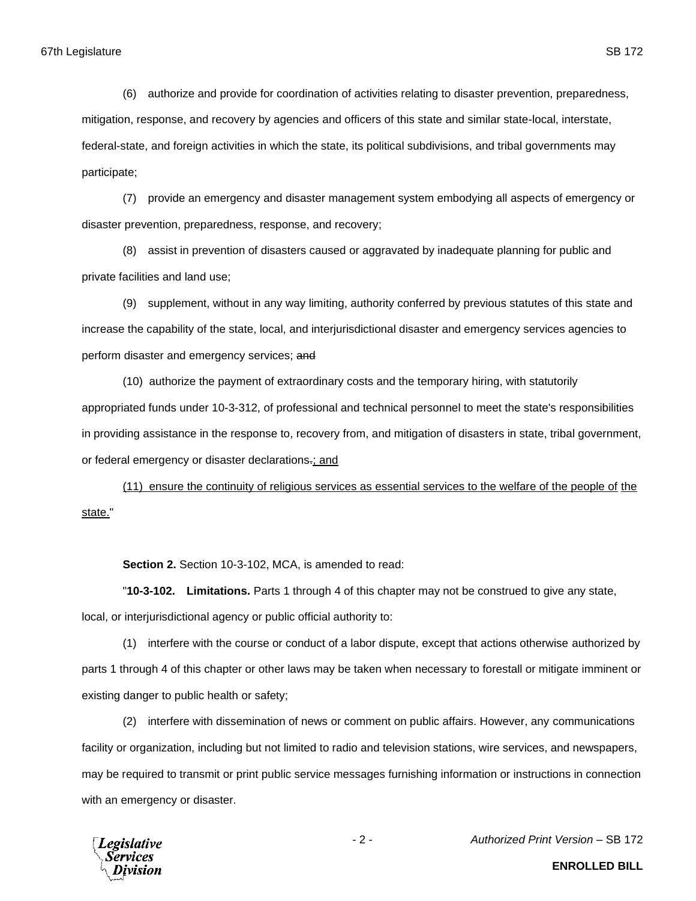(6) authorize and provide for coordination of activities relating to disaster prevention, preparedness, mitigation, response, and recovery by agencies and officers of this state and similar state-local, interstate, federal-state, and foreign activities in which the state, its political subdivisions, and tribal governments may participate;

(7) provide an emergency and disaster management system embodying all aspects of emergency or disaster prevention, preparedness, response, and recovery;

(8) assist in prevention of disasters caused or aggravated by inadequate planning for public and private facilities and land use;

(9) supplement, without in any way limiting, authority conferred by previous statutes of this state and increase the capability of the state, local, and interjurisdictional disaster and emergency services agencies to perform disaster and emergency services; and

(10) authorize the payment of extraordinary costs and the temporary hiring, with statutorily appropriated funds under 10-3-312, of professional and technical personnel to meet the state's responsibilities in providing assistance in the response to, recovery from, and mitigation of disasters in state, tribal government, or federal emergency or disaster declarations.; and

(11) ensure the continuity of religious services as essential services to the welfare of the people of the state."

**Section 2.** Section 10-3-102, MCA, is amended to read:

"**10-3-102. Limitations.** Parts 1 through 4 of this chapter may not be construed to give any state, local, or interjurisdictional agency or public official authority to:

(1) interfere with the course or conduct of a labor dispute, except that actions otherwise authorized by parts 1 through 4 of this chapter or other laws may be taken when necessary to forestall or mitigate imminent or existing danger to public health or safety;

(2) interfere with dissemination of news or comment on public affairs. However, any communications facility or organization, including but not limited to radio and television stations, wire services, and newspapers, may be required to transmit or print public service messages furnishing information or instructions in connection with an emergency or disaster.



- 2 - *Authorized Print Version* – SB 172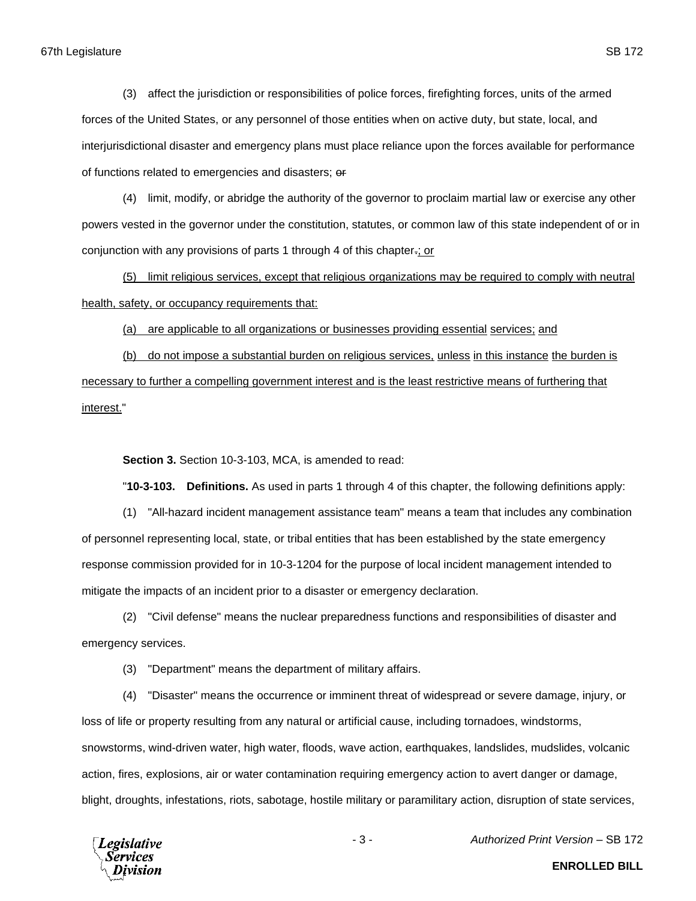(3) affect the jurisdiction or responsibilities of police forces, firefighting forces, units of the armed forces of the United States, or any personnel of those entities when on active duty, but state, local, and interjurisdictional disaster and emergency plans must place reliance upon the forces available for performance of functions related to emergencies and disasters; or

(4) limit, modify, or abridge the authority of the governor to proclaim martial law or exercise any other powers vested in the governor under the constitution, statutes, or common law of this state independent of or in conjunction with any provisions of parts 1 through 4 of this chapter.; or

(5) limit religious services, except that religious organizations may be required to comply with neutral health, safety, or occupancy requirements that:

(a) are applicable to all organizations or businesses providing essential services; and

(b) do not impose a substantial burden on religious services, unless in this instance the burden is necessary to further a compelling government interest and is the least restrictive means of furthering that interest."

**Section 3.** Section 10-3-103, MCA, is amended to read:

"**10-3-103. Definitions.** As used in parts 1 through 4 of this chapter, the following definitions apply:

(1) "All-hazard incident management assistance team" means a team that includes any combination of personnel representing local, state, or tribal entities that has been established by the state emergency response commission provided for in 10-3-1204 for the purpose of local incident management intended to mitigate the impacts of an incident prior to a disaster or emergency declaration.

(2) "Civil defense" means the nuclear preparedness functions and responsibilities of disaster and emergency services.

(3) "Department" means the department of military affairs.

(4) "Disaster" means the occurrence or imminent threat of widespread or severe damage, injury, or loss of life or property resulting from any natural or artificial cause, including tornadoes, windstorms, snowstorms, wind-driven water, high water, floods, wave action, earthquakes, landslides, mudslides, volcanic action, fires, explosions, air or water contamination requiring emergency action to avert danger or damage, blight, droughts, infestations, riots, sabotage, hostile military or paramilitary action, disruption of state services,

**Legislative** Services

- 3 - *Authorized Print Version* – SB 172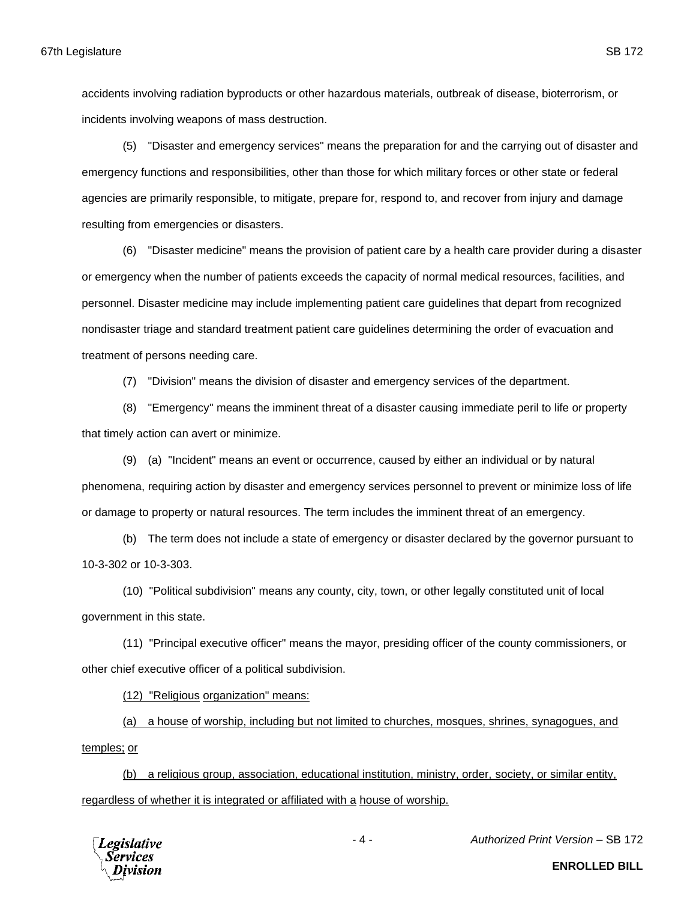accidents involving radiation byproducts or other hazardous materials, outbreak of disease, bioterrorism, or incidents involving weapons of mass destruction.

(5) "Disaster and emergency services" means the preparation for and the carrying out of disaster and emergency functions and responsibilities, other than those for which military forces or other state or federal agencies are primarily responsible, to mitigate, prepare for, respond to, and recover from injury and damage resulting from emergencies or disasters.

(6) "Disaster medicine" means the provision of patient care by a health care provider during a disaster or emergency when the number of patients exceeds the capacity of normal medical resources, facilities, and personnel. Disaster medicine may include implementing patient care guidelines that depart from recognized nondisaster triage and standard treatment patient care guidelines determining the order of evacuation and treatment of persons needing care.

(7) "Division" means the division of disaster and emergency services of the department.

(8) "Emergency" means the imminent threat of a disaster causing immediate peril to life or property that timely action can avert or minimize.

(9) (a) "Incident" means an event or occurrence, caused by either an individual or by natural phenomena, requiring action by disaster and emergency services personnel to prevent or minimize loss of life or damage to property or natural resources. The term includes the imminent threat of an emergency.

(b) The term does not include a state of emergency or disaster declared by the governor pursuant to 10-3-302 or 10-3-303.

(10) "Political subdivision" means any county, city, town, or other legally constituted unit of local government in this state.

(11) "Principal executive officer" means the mayor, presiding officer of the county commissioners, or other chief executive officer of a political subdivision.

(12) "Religious organization" means:

(a) a house of worship, including but not limited to churches, mosques, shrines, synagogues, and temples; or

(b) a religious group, association, educational institution, ministry, order, society, or similar entity, regardless of whether it is integrated or affiliated with a house of worship.



- 4 - *Authorized Print Version* – SB 172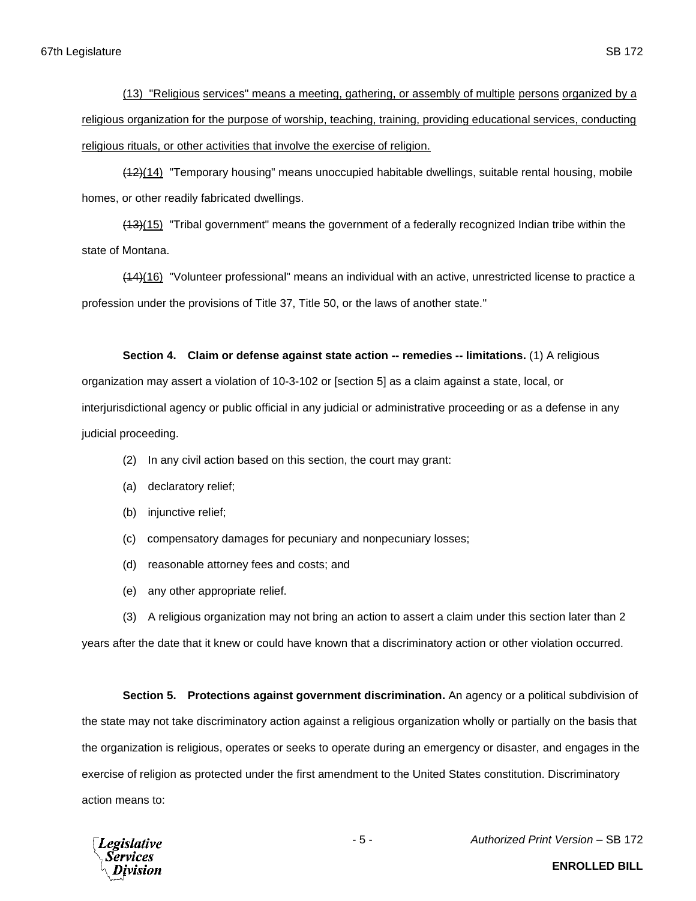(13) "Religious services" means a meeting, gathering, or assembly of multiple persons organized by a religious organization for the purpose of worship, teaching, training, providing educational services, conducting religious rituals, or other activities that involve the exercise of religion.

(12)(14) "Temporary housing" means unoccupied habitable dwellings, suitable rental housing, mobile homes, or other readily fabricated dwellings.

(13)(15) "Tribal government" means the government of a federally recognized Indian tribe within the state of Montana.

(14)(16) "Volunteer professional" means an individual with an active, unrestricted license to practice a profession under the provisions of Title 37, Title 50, or the laws of another state."

## **Section 4. Claim or defense against state action -- remedies -- limitations.** (1) A religious

organization may assert a violation of 10-3-102 or [section 5] as a claim against a state, local, or interjurisdictional agency or public official in any judicial or administrative proceeding or as a defense in any judicial proceeding.

- (2) In any civil action based on this section, the court may grant:
- (a) declaratory relief;
- (b) injunctive relief;
- (c) compensatory damages for pecuniary and nonpecuniary losses;
- (d) reasonable attorney fees and costs; and
- (e) any other appropriate relief.

(3) A religious organization may not bring an action to assert a claim under this section later than 2 years after the date that it knew or could have known that a discriminatory action or other violation occurred.

**Section 5. Protections against government discrimination.** An agency or a political subdivision of the state may not take discriminatory action against a religious organization wholly or partially on the basis that the organization is religious, operates or seeks to operate during an emergency or disaster, and engages in the exercise of religion as protected under the first amendment to the United States constitution. Discriminatory action means to:

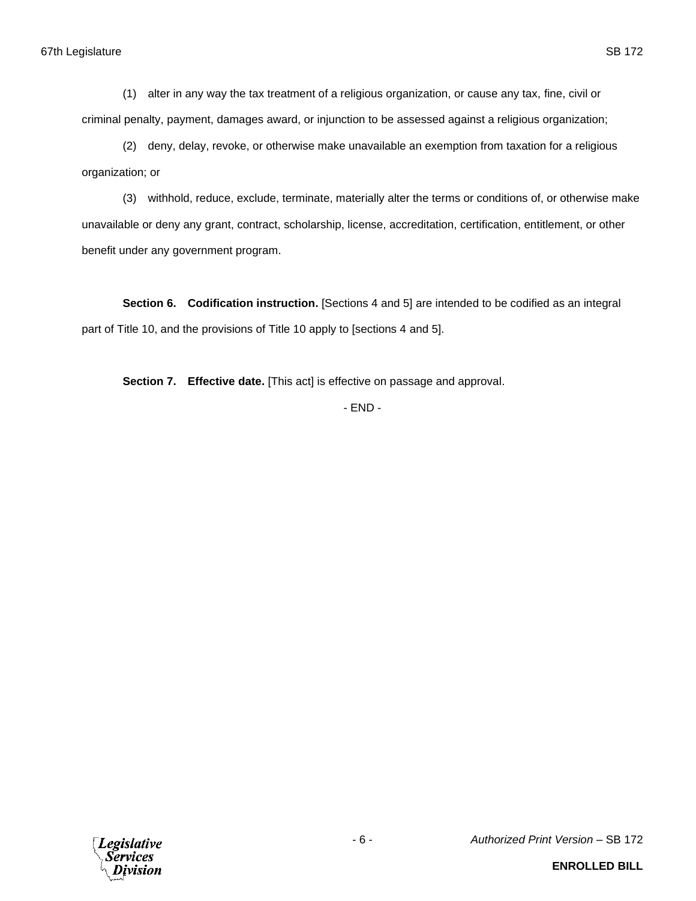(2) deny, delay, revoke, or otherwise make unavailable an exemption from taxation for a religious organization; or

(3) withhold, reduce, exclude, terminate, materially alter the terms or conditions of, or otherwise make unavailable or deny any grant, contract, scholarship, license, accreditation, certification, entitlement, or other benefit under any government program.

**Section 6. Codification instruction.** [Sections 4 and 5] are intended to be codified as an integral part of Title 10, and the provisions of Title 10 apply to [sections 4 and 5].

**Section 7. Effective date.** [This act] is effective on passage and approval.

- END -

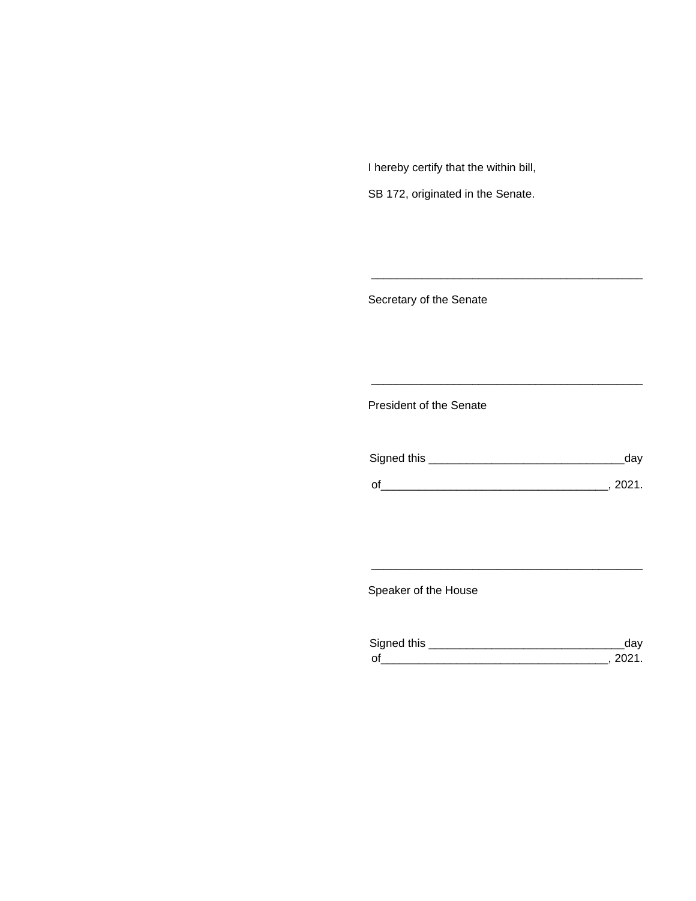I hereby certify that the within bill,

SB 172, originated in the Senate.

Secretary of the Senate

President of the Senate

| Signed this | uav    |
|-------------|--------|
|             | 111'11 |
| $\Omega$    |        |

\_\_\_\_\_\_\_\_\_\_\_\_\_\_\_\_\_\_\_\_\_\_\_\_\_\_\_\_\_\_\_\_\_\_\_\_\_\_\_\_\_\_\_

\_\_\_\_\_\_\_\_\_\_\_\_\_\_\_\_\_\_\_\_\_\_\_\_\_\_\_\_\_\_\_\_\_\_\_\_\_\_\_\_\_\_\_

Speaker of the House

| Sianed this |  |
|-------------|--|
| $\sim$      |  |

\_\_\_\_\_\_\_\_\_\_\_\_\_\_\_\_\_\_\_\_\_\_\_\_\_\_\_\_\_\_\_\_\_\_\_\_\_\_\_\_\_\_\_